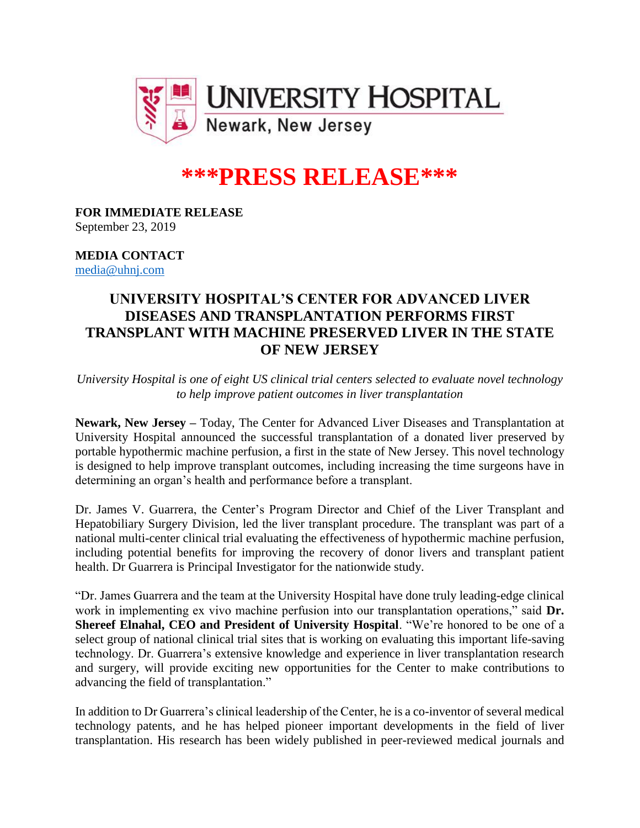

# **\*\*\*PRESS RELEASE\*\*\***

#### **FOR IMMEDIATE RELEASE** September 23, 2019

### **MEDIA CONTACT** [media@uhnj.com](mailto:media@uhnj.com)

## **UNIVERSITY HOSPITAL'S CENTER FOR ADVANCED LIVER DISEASES AND TRANSPLANTATION PERFORMS FIRST TRANSPLANT WITH MACHINE PRESERVED LIVER IN THE STATE OF NEW JERSEY**

*University Hospital is one of eight US clinical trial centers selected to evaluate novel technology to help improve patient outcomes in liver transplantation*

**Newark, New Jersey –** Today, The Center for Advanced Liver Diseases and Transplantation at University Hospital announced the successful transplantation of a donated liver preserved by portable hypothermic machine perfusion, a first in the state of New Jersey. This novel technology is designed to help improve transplant outcomes, including increasing the time surgeons have in determining an organ's health and performance before a transplant.

Dr. James V. Guarrera, the Center's Program Director and Chief of the Liver Transplant and Hepatobiliary Surgery Division, led the liver transplant procedure. The transplant was part of a national multi-center clinical trial evaluating the effectiveness of hypothermic machine perfusion, including potential benefits for improving the recovery of donor livers and transplant patient health. Dr Guarrera is Principal Investigator for the nationwide study.

"Dr. James Guarrera and the team at the University Hospital have done truly leading-edge clinical work in implementing ex vivo machine perfusion into our transplantation operations," said **Dr. Shereef Elnahal, CEO and President of University Hospital**. "We're honored to be one of a select group of national clinical trial sites that is working on evaluating this important life-saving technology. Dr. Guarrera's extensive knowledge and experience in liver transplantation research and surgery, will provide exciting new opportunities for the Center to make contributions to advancing the field of transplantation."

In addition to Dr Guarrera's clinical leadership of the Center, he is a co-inventor of several medical technology patents, and he has helped pioneer important developments in the field of liver transplantation. His research has been widely published in peer-reviewed medical journals and